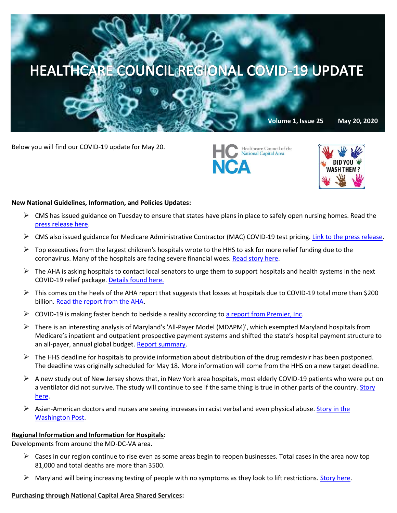# HEALTHCARE COUNCIL REGIONAL COVID-19 UPDATE

**Volume 1, Issue 25 May 20, 2020**

Below you will find our COVID-19 update for May 20.





#### **New National Guidelines, Information, and Policies Updates:**

- $\triangleright$  CMS has issued guidance on Tuesday to ensure that states have plans in place to safely open nursing homes. Read the [press release here.](https://www.cms.gov/newsroom/press-releases/trump-administration-issues-guidance-ensure-states-have-plan-place-safely-reopen-nursing-homes)
- $\triangleright$  CMS also issued guidance for Medicare Administrative Contractor (MAC) COVID-19 test pricing[. Link to the press release.](https://www.cms.gov/files/document/mac-covid-19-test-pricing.pdf)
- $\triangleright$  Top executives from the largest children's hospitals wrote to the HHS to ask for more relief funding due to the coronavirus. Many of the hospitals are facing severe financial woes. [Read story here.](https://thehill.com/policy/healthcare/498482-childrens-hospitals-ask-hhs-to-release-more-coronavirus-relief-funding?mkt_tok=eyJpIjoiTW1JMVltRTVZemRpWkdReiIsInQiOiJsRU4zVEg2SkJKWGk5TGhwODdhdnNrQzRWeG1vWkVlTVlLNVFHNjhBS2hVc2NHakJQQ3ZtaWlXZzlqemdNUEUwNFFQd1FIQ2J0Tzd6cktrUVVZTHJ6VGJcL0V1blVkKzM5NHFyVURyVk1XMUIwMklHQzFiMVBZTTY5SU0rbEFKQlAifQ==)
- The AHA is asking hospitals to **c**ontact local senators to urge them to support hospitals and health systems in the next COVID-19 relief package[. Details found here.](https://contentsharing.net/actions/email_web_version.cfm?ep=Bdhtp-zVuqFkgQiV6-lxty0f-nrLBJWzuTngPvD-5dUDn-cry_ZcmTXDfQbg79yfnwMBeIIy3pRzn_KDbcZg7KMzTZ-DfHSgs_5DoWUlba9gj80O5QTzMZ6XZyJnQcAc)
- $\triangleright$  This comes on the heels of the AHA report that suggests that losses at hospitals due to COVID-19 total more than \$200 billion[. Read the report from the AHA.](https://www.managedhealthcareexecutive.com/news/aha-says-covid-19-losses-hospitals-total-more-200-billion)
- $\triangleright$  COVID-19 is making faster bench to bedside a reality according t[o a report from Premier, Inc.](https://www.premierinc.com/newsroom/blog/how-covid-19-is-making-faster-bench-to-bedside-a-reality)
- $\triangleright$  There is an interesting analysis of Maryland's 'All-Payer Model (MDAPM)', which exempted Maryland hospitals from Medicare's inpatient and outpatient prospective payment systems and shifted the state's hospital payment structure to an all-payer, annual global budget. [Report summary.](https://innovation.cms.gov/files/reports/md-allpayer-finalevalrpt-fg.pdf)
- $\triangleright$  The HHS deadline for hospitals to provide information about distribution of the drug remdesivir has been postponed. The deadline was originally scheduled for May 18. More information will come from the HHS on a new target deadline.
- $\triangleright$  A new study out of New Jersey shows that, in New York area hospitals, most elderly COVID-19 patients who were put on a ventilator did not survive. The study will continue to see if the same thing is true in other parts of the country. [Story](https://www.washingtonpost.com/health/elderly-covid-19-patients-on-ventilators-usually-do-not-survive-new-york-hospitals-report/2020/05/19/ba20e822-99f8-11ea-89fd-28fb313d1886_story.html)  [here.](https://www.washingtonpost.com/health/elderly-covid-19-patients-on-ventilators-usually-do-not-survive-new-york-hospitals-report/2020/05/19/ba20e822-99f8-11ea-89fd-28fb313d1886_story.html)
- $\triangleright$  Asian-American doctors and nurses are seeing increases in racist verbal and even physical abuse. Story in the [Washington Post.](https://www.washingtonpost.com/business/2020/05/19/asian-american-discrimination/)

## **Regional Information and Information for Hospitals:**

Developments from around the MD-DC-VA area.

- $\triangleright$  Cases in our region continue to rise even as some areas begin to reopen businesses. Total cases in the area now top 81,000 and total deaths are more than 3500.
- $\triangleright$  Maryland will being increasing testing of people with no symptoms as they look to lift restrictions. [Story here.](https://www.washingtonpost.com/local/maryland-to-expand-coronavirus-testing-for-asymptomatic-people-another-step-toward-lifting-restrictions/2020/05/19/c3f4ff50-99ee-11ea-89fd-28fb313d1886_story.html)

#### **Purchasing through National Capital Area Shared Services:**